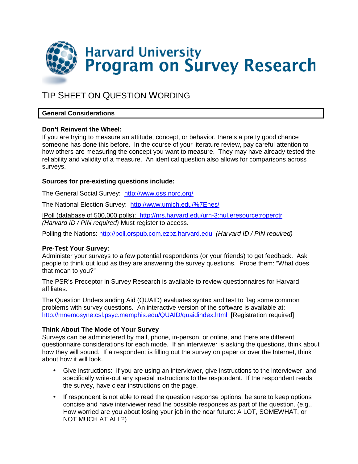

# TIP SHEET ON QUESTION WORDING

# **General Considerations**

# **Don't Reinvent the Wheel:**

If you are trying to measure an attitude, concept, or behavior, there's a pretty good chance someone has done this before. In the course of your literature review, pay careful attention to how others are measuring the concept you want to measure. They may have already tested the reliability and validity of a measure. An identical question also allows for comparisons across surveys.

# **Sources for pre-existing questions include:**

The General Social Survey:http://www.gss.norc.org/

The National Election Survey: http://www.umich.edu/%7Enes/

IPoll (database of 500,000 polls): http://nrs.harvard.edu/urn-3:hul.eresource:roperctr (Harvard ID / PIN required) Must register to access.

Polling the Nations: http://poll.orspub.com.ezpz.harvard.edu (Harvard ID / PIN required)

# **Pre-Test Your Survey:**

Administer your surveys to a few potential respondents (or your friends) to get feedback. Ask people to think out loud as they are answering the survey questions. Probe them: "What does that mean to you?"

The PSR's Preceptor in Survey Research is available to review questionnaires for Harvard affiliates.

The Question Understanding Aid (QUAID) evaluates syntax and test to flag some common problems with survey questions. An interactive version of the software is available at: http://mnemosyne.csl.psyc.memphis.edu/QUAID/quaidindex.html [Registration required]

# **Think About The Mode of Your Survey**

Surveys can be administered by mail, phone, in-person, or online, and there are different questionnaire considerations for each mode. If an interviewer is asking the questions, think about how they will sound. If a respondent is filling out the survey on paper or over the Internet, think about how it will look.

- Give instructions: If you are using an interviewer, give instructions to the interviewer, and specifically write-out any special instructions to the respondent. If the respondent reads the survey, have clear instructions on the page.
- If respondent is not able to read the question response options, be sure to keep options concise and have interviewer read the possible responses as part of the question. (e.g., How worried are you about losing your job in the near future: A LOT, SOMEWHAT, or NOT MUCH AT ALL?)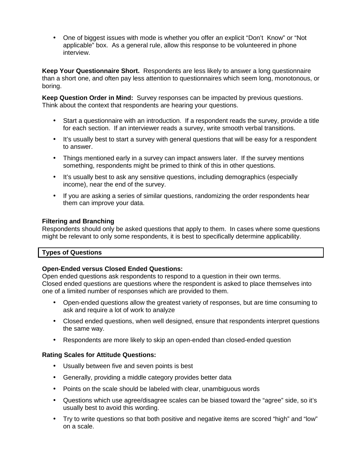• One of biggest issues with mode is whether you offer an explicit "Don't Know" or "Not applicable" box. As a general rule, allow this response to be volunteered in phone interview.

**Keep Your Questionnaire Short.** Respondents are less likely to answer a long questionnaire than a short one, and often pay less attention to questionnaires which seem long, monotonous, or boring.

**Keep Question Order in Mind:** Survey responses can be impacted by previous questions. Think about the context that respondents are hearing your questions.

- Start a questionnaire with an introduction. If a respondent reads the survey, provide a title for each section. If an interviewer reads a survey, write smooth verbal transitions.
- It's usually best to start a survey with general questions that will be easy for a respondent to answer.
- Things mentioned early in a survey can impact answers later. If the survey mentions something, respondents might be primed to think of this in other questions.
- It's usually best to ask any sensitive questions, including demographics (especially income), near the end of the survey.
- If you are asking a series of similar questions, randomizing the order respondents hear them can improve your data.

# **Filtering and Branching**

Respondents should only be asked questions that apply to them. In cases where some questions might be relevant to only some respondents, it is best to specifically determine applicability.

# **Types of Questions**

#### **Open-Ended versus Closed Ended Questions:**

Open ended questions ask respondents to respond to a question in their own terms. Closed ended questions are questions where the respondent is asked to place themselves into one of a limited number of responses which are provided to them.

- Open-ended questions allow the greatest variety of responses, but are time consuming to ask and require a lot of work to analyze
- Closed ended questions, when well designed, ensure that respondents interpret questions the same way.
- Respondents are more likely to skip an open-ended than closed-ended question

# **Rating Scales for Attitude Questions:**

- Usually between five and seven points is best
- Generally, providing a middle category provides better data
- Points on the scale should be labeled with clear, unambiguous words
- Questions which use agree/disagree scales can be biased toward the "agree" side, so it's usually best to avoid this wording.
- Try to write questions so that both positive and negative items are scored "high" and "low" on a scale.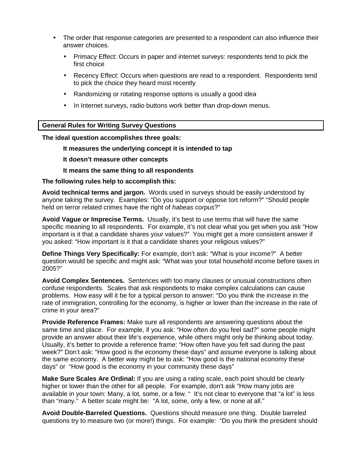- The order that response categories are presented to a respondent can also influence their answer choices.
	- Primacy Effect: Occurs in paper and internet surveys: respondents tend to pick the first choice
	- Recency Effect: Occurs when questions are read to a respondent. Respondents tend to pick the choice they heard most recently
	- Randomizing or rotating response options is usually a good idea
	- In Internet surveys, radio buttons work better than drop-down menus.

# **General Rules for Writing Survey Questions**

#### **The ideal question accomplishes three goals:**

#### **It measures the underlying concept it is intended to tap**

#### **It doesn't measure other concepts**

# **It means the same thing to all respondents**

#### **The following rules help to accomplish this:**

**Avoid technical terms and jargon.** Words used in surveys should be easily understood by anyone taking the survey. Examples: "Do you support or oppose tort reform?" "Should people held on terror related crimes have the right of habeas corpus?"

**Avoid Vague or Imprecise Terms.** Usually, it's best to use terms that will have the same specific meaning to all respondents. For example, it's not clear what you get when you ask "How important is it that a candidate shares your values?" You might get a more consistent answer if you asked: "How important is it that a candidate shares your religious values?"

**Define Things Very Specifically:** For example, don't ask: "What is your income?" A better question would be specific and might ask: "What was your total household income before taxes in 2005?"

**Avoid Complex Sentences.** Sentences with too many clauses or unusual constructions often confuse respondents. Scales that ask respondents to make complex calculations can cause problems. How easy will it be for a typical person to answer: "Do you think the increase in the rate of immigration, controlling for the economy, is higher or lower than the increase in the rate of crime in your area?"

**Provide Reference Frames:** Make sure all respondents are answering questions about the same time and place. For example, if you ask: "How often do you feel sad?" some people might provide an answer about their life's experience, while others might only be thinking about today. Usually, it's better to provide a reference frame: "How often have you felt sad during the past week?" Don't ask: "How good is the economy these days" and assume everyone is talking about the same economy. A better way might be to ask: "How good is the national economy these days" or "How good is the economy in your community these days"

**Make Sure Scales Are Ordinal:** If you are using a rating scale, each point should be clearly higher or lower than the other for all people. For example, don't ask "How many jobs are available in your town: Many, a lot, some, or a few. " It's not clear to everyone that "a lot" is less than "many." A better scale might be: "A lot, some, only a few, or none at all."

**Avoid Double-Barreled Questions.** Questions should measure one thing. Double barreled questions try to measure two (or more!) things. For example: "Do you think the president should